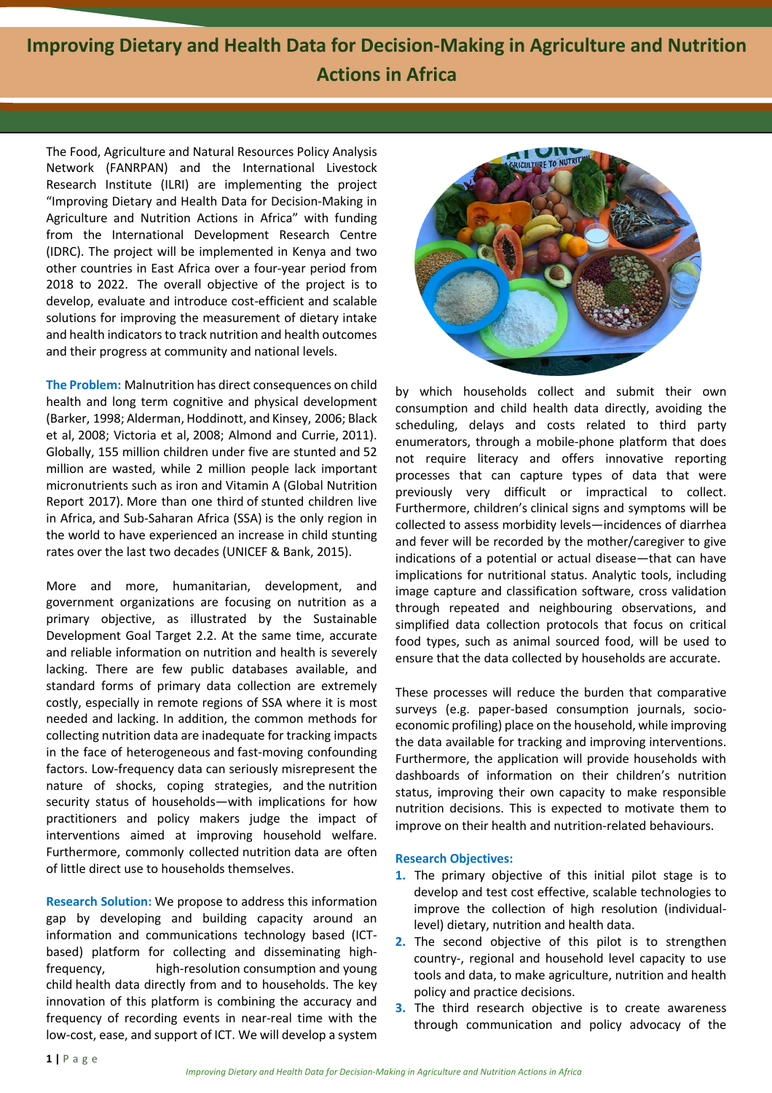**Improving Dietary and Health Data for Decision-Making in Agriculture and Nutrition Actions in Africa**

The Food, Agriculture and Natural Resources Policy Analysis Network (FANRPAN) and the International Livestock Research Institute (ILRI) are implementing the project "Improving Dietary and Health Data for Decision-Making in Agriculture and Nutrition Actions in Africa" with funding from the International Development Research Centre (IDRC). The project will be implemented in Kenya and two other countries in East Africa over a four-year period from 2018 to 2022. The overall objective of the project is to develop, evaluate and introduce cost-efficient and scalable solutions for improving the measurement of dietary intake and health indicators to track nutrition and health outcomes and their progress at community and national levels.

**The Problem:** Malnutrition has direct consequences on child health and long term cognitive and physical development (Barker, 1998; Alderman, Hoddinott, and Kinsey, 2006; Black et al, 2008; Victoria et al, 2008; Almond and Currie, 2011). Globally, 155 million children under five are stunted and 52 million are wasted, while 2 million people lack important micronutrients such as iron and Vitamin A (Global Nutrition Report 2017). More than one third of stunted children live in Africa, and Sub-Saharan Africa (SSA) is the only region in the world to have experienced an increase in child stunting rates over the last two decades (UNICEF & Bank, 2015).

More and more, humanitarian, development, and government organizations are focusing on nutrition as a primary objective, as illustrated by the Sustainable Development Goal Target 2.2. At the same time, accurate and reliable information on nutrition and health is severely lacking. There are few public databases available, and standard forms of primary data collection are extremely costly, especially in remote regions of SSA where it is most needed and lacking. In addition, the common methods for collecting nutrition data are inadequate for tracking impacts in the face of heterogeneous and fast-moving confounding factors. Low-frequency data can seriously misrepresent the nature of shocks, coping strategies, and the nutrition security status of households—with implications for how practitioners and policy makers judge the impact of interventions aimed at improving household welfare. Furthermore, commonly collected nutrition data are often of little direct use to households themselves.

**Research Solution:** We propose to address this information gap by developing and building capacity around an information and communications technology based (ICTbased) platform for collecting and disseminating highfrequency, high-resolution consumption and young child health data directly from and to households. The key innovation of this platform is combining the accuracy and frequency of recording events in near-real time with the low-cost, ease, and support of ICT. We will develop a system



by which households collect and submit their own consumption and child health data directly, avoiding the scheduling, delays and costs related to third party enumerators, through a mobile-phone platform that does not require literacy and offers innovative reporting processes that can capture types of data that were previously very difficult or impractical to collect. Furthermore, children's clinical signs and symptoms will be collected to assess morbidity levels—incidences of diarrhea and fever will be recorded by the mother/caregiver to give indications of a potential or actual disease—that can have implications for nutritional status. Analytic tools, including image capture and classification software, cross validation through repeated and neighbouring observations, and simplified data collection protocols that focus on critical food types, such as animal sourced food, will be used to ensure that the data collected by households are accurate.

These processes will reduce the burden that comparative surveys (e.g. paper-based consumption journals, socioeconomic profiling) place on the household, while improving the data available for tracking and improving interventions. Furthermore, the application will provide households with dashboards of information on their children's nutrition status, improving their own capacity to make responsible nutrition decisions. This is expected to motivate them to improve on their health and nutrition-related behaviours.

## **Research Objectives:**

- **1.** The primary objective of this initial pilot stage is to develop and test cost effective, scalable technologies to improve the collection of high resolution (individuallevel) dietary, nutrition and health data.
- **2.** The second objective of this pilot is to strengthen country-, regional and household level capacity to use tools and data, to make agriculture, nutrition and health policy and practice decisions.
- **3.** The third research objective is to create awareness through communication and policy advocacy of the